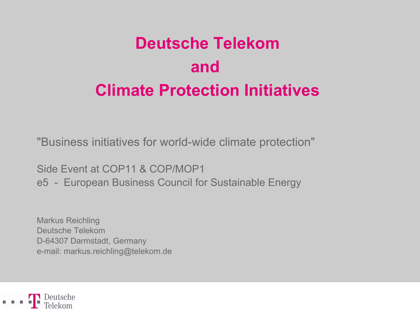# **Deutsche Telekom and Climate Protection Initiatives**

"Business initiatives for world-wide climate protection"

Side Event at COP11 & COP/MOP1

e5 - European Business Council for Sustainable Energy

Markus Reichling Deutsche Telekom D-64307 Darmstadt, Germany e-mail: markus.reichling@telekom.de

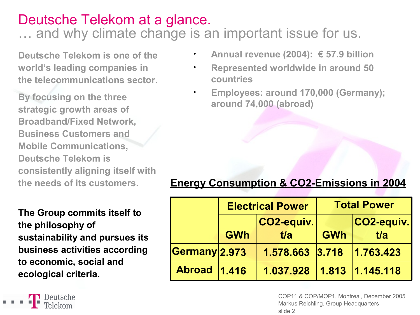# Deutsche Telekom at a glance.

… and why climate change is an important issue for us.

**Deutsche Telekom is one of the world's leading companies in the telecommunications sector.**

**By focusing on the three strategic growth areas of Broadband/Fixed Network, Business Customers and Mobile Communications, Deutsche Telekom is consistently aligning itself with the needs of its customers.**

**The Group commits itself to the philosophy of sustainability and pursues its business activities according to economic, social and ecological criteria.**

Deutsche

- **Annual revenue (2004): € 57.9 billion**
- **Represented worldwide in around 50 countries**
	- **Employees: around 170,000 (Germany); around 74,000 (abroad)**

## **Energy Consumption & CO2-Emissions in 2004**

|                     | <b>Electrical Power</b> |                           | <b>Total Power</b> |            |
|---------------------|-------------------------|---------------------------|--------------------|------------|
|                     |                         | CO2-equiv.                |                    | CO2-equiv. |
|                     | <b>GWh</b>              | t/a                       | <b>GWh</b>         | t/a        |
| Germany 2.973       |                         | 1.578.663 3.718           |                    | 1.763.423  |
| <b>Abroad 1.416</b> |                         | 1.037.928 1.813 1.145.118 |                    |            |

COP11 & COP/MOP1, Montreal, December 2005 Markus Reichling, Group Headquarters slide 2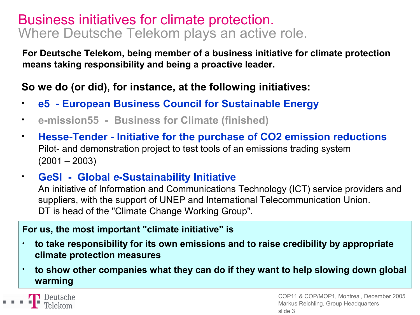## Business initiatives for climate protection. Where Deutsche Telekom plays an active role.

**For Deutsche Telekom, being member of a business initiative for climate protection means taking responsibility and being a proactive leader.**

### **So we do (or did), for instance, at the following initiatives:**

- **e5 - European Business Council for Sustainable Energy**
- **e-mission55 - Business for Climate (finished)**
- **Hesse-Tender - Initiative for the purchase of CO2 emission reductions** Pilot- and demonstration project to test tools of an emissions trading system  $(2001 - 2003)$
- **G***e***SI - Global** *e***-Sustainability Initiative**

An initiative of Information and Communications Technology (ICT) service providers and suppliers, with the support of UNEP and International Telecommunication Union. DT is head of the "Climate Change Working Group".

#### **For us, the most important "climate initiative" is**

- **to take responsibility for its own emissions and to raise credibility by appropriate climate protection measures**
- **to show other companies what they can do if they want to help slowing down global warming**

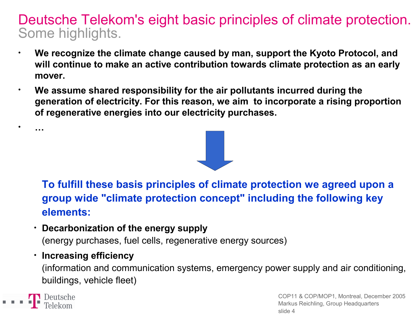## Deutsche Telekom's eight basic principles of climate protection. Some highlights.

- **We recognize the climate change caused by man, support the Kyoto Protocol, and will continue to make an active contribution towards climate protection as an early mover.**
- **We assume shared responsibility for the air pollutants incurred during the generation of electricity. For this reason, we aim to incorporate a rising proportion of regenerative energies into our electricity purchases.**



**To fulfill these basis principles of climate protection we agreed upon a group wide "climate protection concept" including the following key elements:**

• **Decarbonization of the energy supply** (energy purchases, fuel cells, regenerative energy sources)

#### • **Increasing efficiency**

(information and communication systems, emergency power supply and air conditioning, buildings, vehicle fleet)

Deutsche

• **…**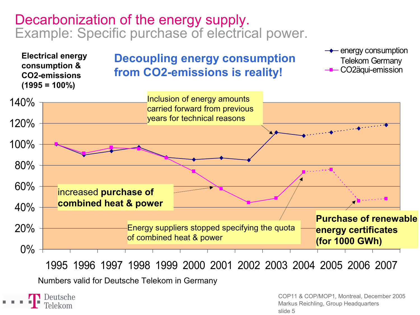## Decarbonization of the energy supply. Example: Specific purchase of electrical power.



slide 5